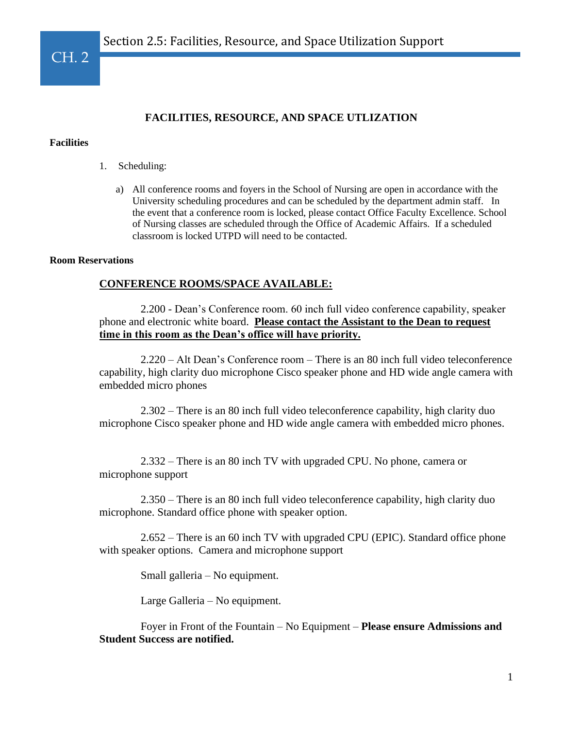### **Facilities**

CH. 2

- 1. Scheduling:
	- a) All conference rooms and foyers in the School of Nursing are open in accordance with the University scheduling procedures and can be scheduled by the department admin staff. In the event that a conference room is locked, please contact Office Faculty Excellence. School of Nursing classes are scheduled through the Office of Academic Affairs. If a scheduled classroom is locked UTPD will need to be contacted.

### **Room Reservations**

## **CONFERENCE ROOMS/SPACE AVAILABLE:**

 2.200 - Dean's Conference room. 60 inch full video conference capability, speaker phone and electronic white board. **Please contact the Assistant to the Dean to request time in this room as the Dean's office will have priority.** 

 2.220 – Alt Dean's Conference room – There is an 80 inch full video teleconference capability, high clarity duo microphone Cisco speaker phone and HD wide angle camera with embedded micro phones

 2.302 – There is an 80 inch full video teleconference capability, high clarity duo microphone Cisco speaker phone and HD wide angle camera with embedded micro phones.

 2.332 – There is an 80 inch TV with upgraded CPU. No phone, camera or microphone support

 2.350 – There is an 80 inch full video teleconference capability, high clarity duo microphone. Standard office phone with speaker option.

 2.652 – There is an 60 inch TV with upgraded CPU (EPIC). Standard office phone with speaker options. Camera and microphone support

Small galleria – No equipment.

Large Galleria – No equipment.

 Foyer in Front of the Fountain – No Equipment – **Please ensure Admissions and Student Success are notified.**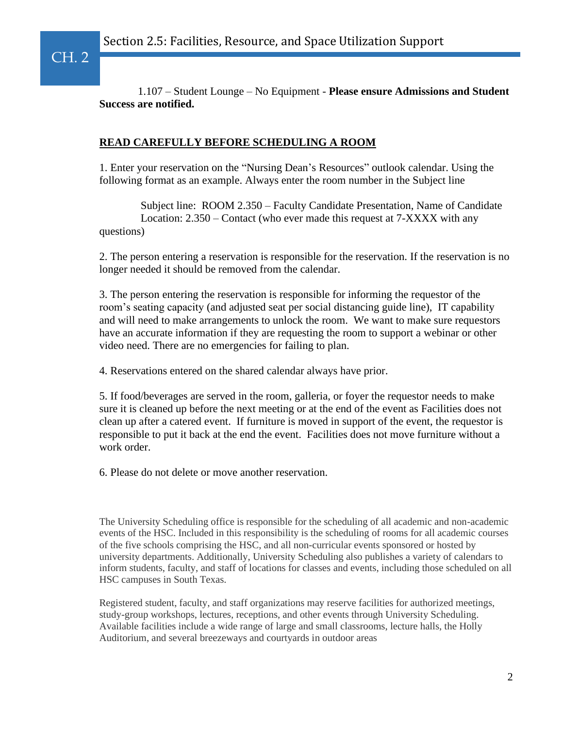CH. 2

 1.107 – Student Lounge – No Equipment - **Please ensure Admissions and Student Success are notified.**

# **READ CAREFULLY BEFORE SCHEDULING A ROOM**

1. Enter your reservation on the "Nursing Dean's Resources" outlook calendar. Using the following format as an example. Always enter the room number in the Subject line

 Subject line: ROOM 2.350 – Faculty Candidate Presentation, Name of Candidate Location: 2.350 – Contact (who ever made this request at 7-XXXX with any questions)

2. The person entering a reservation is responsible for the reservation. If the reservation is no longer needed it should be removed from the calendar.

3. The person entering the reservation is responsible for informing the requestor of the room's seating capacity (and adjusted seat per social distancing guide line), IT capability and will need to make arrangements to unlock the room. We want to make sure requestors have an accurate information if they are requesting the room to support a webinar or other video need. There are no emergencies for failing to plan.

4. Reservations entered on the shared calendar always have prior.

5. If food/beverages are served in the room, galleria, or foyer the requestor needs to make sure it is cleaned up before the next meeting or at the end of the event as Facilities does not clean up after a catered event. If furniture is moved in support of the event, the requestor is responsible to put it back at the end the event. Facilities does not move furniture without a work order.

6. Please do not delete or move another reservation.

The University Scheduling office is responsible for the scheduling of all academic and non-academic events of the HSC. Included in this responsibility is the scheduling of rooms for all academic courses of the five schools comprising the HSC, and all non-curricular events sponsored or hosted by university departments. Additionally, University Scheduling also publishes a variety of calendars to inform students, faculty, and staff of locations for classes and events, including those scheduled on all HSC campuses in South Texas.

Registered student, faculty, and staff organizations may reserve facilities for authorized meetings, study-group workshops, lectures, receptions, and other events through University Scheduling. Available facilities include a wide range of large and small classrooms, lecture halls, the Holly Auditorium, and several breezeways and courtyards in outdoor areas